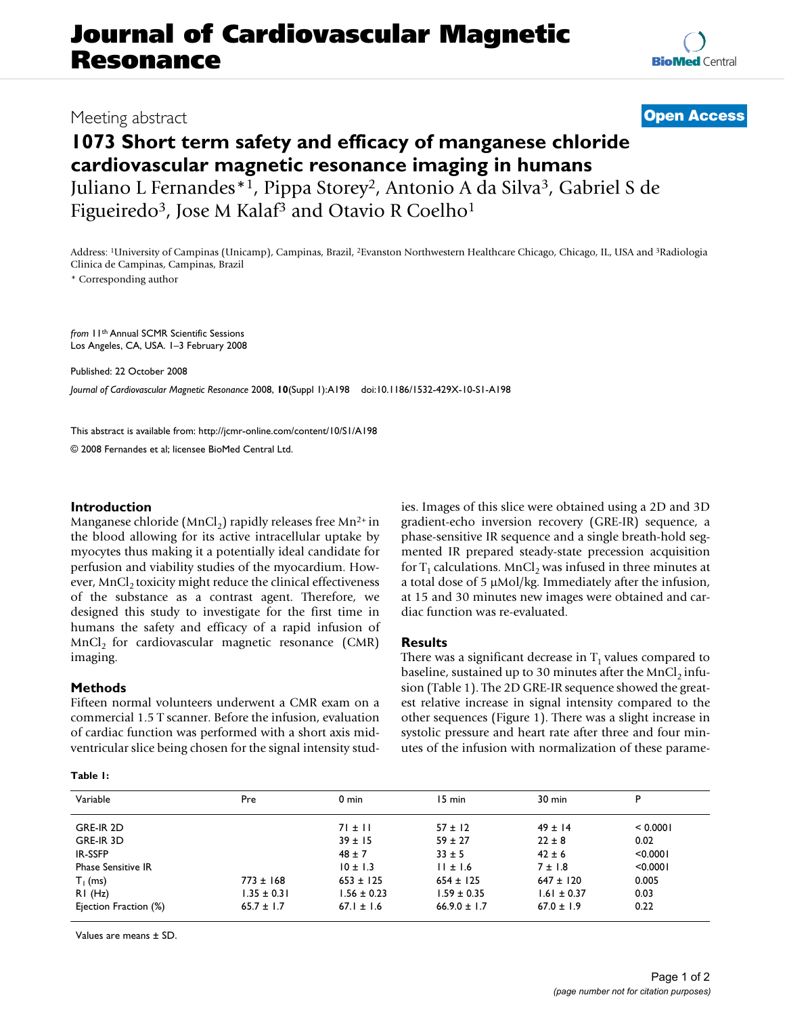# **Journal of Cardiovascular Magnetic Resonance**

### Meeting abstract **[Open Access](http://www.biomedcentral.com/info/about/charter/)**

## **1073 Short term safety and efficacy of manganese chloride cardiovascular magnetic resonance imaging in humans** Juliano L Fernandes\*1, Pippa Storey2, Antonio A da Silva3, Gabriel S de

Figueiredo<sup>3</sup>, Jose M Kalaf<sup>3</sup> and Otavio R Coelho<sup>1</sup>

Address: 1University of Campinas (Unicamp), Campinas, Brazil, 2Evanston Northwestern Healthcare Chicago, Chicago, IL, USA and 3Radiologia Clinica de Campinas, Campinas, Brazil

\* Corresponding author

*from* 11th Annual SCMR Scientific Sessions Los Angeles, CA, USA. 1–3 February 2008

Published: 22 October 2008

*Journal of Cardiovascular Magnetic Resonance* 2008, **10**(Suppl 1):A198 doi:10.1186/1532-429X-10-S1-A198

[This abstract is available from: http://jcmr-online.com/content/10/S1/A198](http://jcmr-online.com/content/10/S1/A198)

© 2008 Fernandes et al; licensee BioMed Central Ltd.

#### **Introduction**

Manganese chloride (MnCl<sub>2</sub>) rapidly releases free Mn<sup>2+</sup> in the blood allowing for its active intracellular uptake by myocytes thus making it a potentially ideal candidate for perfusion and viability studies of the myocardium. However, MnCl<sub>2</sub> toxicity might reduce the clinical effectiveness of the substance as a contrast agent. Therefore, we designed this study to investigate for the first time in humans the safety and efficacy of a rapid infusion of  $MnCl<sub>2</sub>$  for cardiovascular magnetic resonance (CMR) imaging.

#### **Methods**

Fifteen normal volunteers underwent a CMR exam on a commercial 1.5 T scanner. Before the infusion, evaluation of cardiac function was performed with a short axis midventricular slice being chosen for the signal intensity stud-

**Table 1:** 

ies. Images of this slice were obtained using a 2D and 3D gradient-echo inversion recovery (GRE-IR) sequence, a phase-sensitive IR sequence and a single breath-hold segmented IR prepared steady-state precession acquisition for  $T_1$  calculations. MnCl<sub>2</sub> was infused in three minutes at a total dose of 5 μMol/kg. Immediately after the infusion, at 15 and 30 minutes new images were obtained and cardiac function was re-evaluated.

#### **Results**

There was a significant decrease in  $T_1$  values compared to baseline, sustained up to 30 minutes after the  $MnCl<sub>2</sub>$  infusion (Table 1). The 2D GRE-IR sequence showed the greatest relative increase in signal intensity compared to the other sequences (Figure 1). There was a slight increase in systolic pressure and heart rate after three and four minutes of the infusion with normalization of these parame-

| Variable                  | Pre             | $0 \text{ min}$ | 15 min           | $30 \text{ min}$ | P        |
|---------------------------|-----------------|-----------------|------------------|------------------|----------|
|                           |                 |                 |                  |                  |          |
| GRE-IR 2D                 |                 | $71 \pm 11$     | $57 \pm 12$      | $49 \pm 14$      | < 0.0001 |
| GRE-IR 3D                 |                 | $39 \pm 15$     | $59 \pm 27$      | $22 \pm 8$       | 0.02     |
| IR-SSFP                   |                 | $48 \pm 7$      | $33 \pm 5$       | $42 \pm 6$       | < 0.0001 |
| <b>Phase Sensitive IR</b> |                 | $10 \pm 1.3$    | $11 \pm 1.6$     | $7 \pm 1.8$      | < 0.0001 |
| $T_1$ (ms)                | $773 \pm 168$   | $653 \pm 125$   | $654 \pm 125$    | $647 \pm 120$    | 0.005    |
| RI(Hz)                    | $1.35 \pm 0.31$ | $1.56 \pm 0.23$ | $1.59 \pm 0.35$  | $1.61 \pm 0.37$  | 0.03     |
| Ejection Fraction (%)     | $65.7 \pm 1.7$  | $67.1 \pm 1.6$  | $66.9.0 \pm 1.7$ | $67.0 \pm 1.9$   | 0.22     |
|                           |                 |                 |                  |                  |          |

Values are means ± SD.